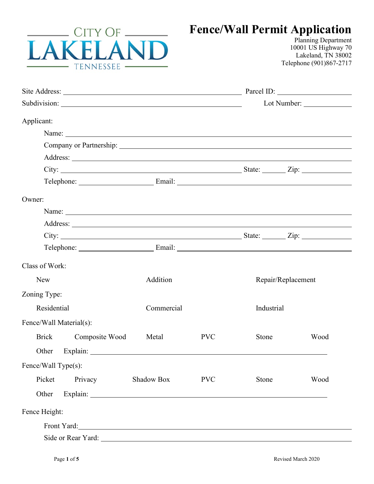

## **Fence/Wall Permit Application**

Planning Department 10001 US Highway 70 Lakeland, TN 38002 Telephone (901)867-2717

| Applicant:                                                                                                                                                                                                                           |                          |            |                    |      |
|--------------------------------------------------------------------------------------------------------------------------------------------------------------------------------------------------------------------------------------|--------------------------|------------|--------------------|------|
| Name:                                                                                                                                                                                                                                |                          |            |                    |      |
|                                                                                                                                                                                                                                      |                          |            |                    |      |
|                                                                                                                                                                                                                                      |                          |            |                    |      |
|                                                                                                                                                                                                                                      |                          |            |                    |      |
| Telephone: Email: Email: Email:                                                                                                                                                                                                      |                          |            |                    |      |
| Owner:                                                                                                                                                                                                                               |                          |            |                    |      |
|                                                                                                                                                                                                                                      |                          |            |                    |      |
| Address: <u>example and the set of the set of the set of the set of the set of the set of the set of the set of the set of the set of the set of the set of the set of the set of the set of the set of the set of the set of th</u> |                          |            |                    |      |
|                                                                                                                                                                                                                                      |                          |            |                    |      |
| Telephone: <u>Email:</u> Email: Email:                                                                                                                                                                                               |                          |            |                    |      |
| Class of Work:                                                                                                                                                                                                                       |                          |            |                    |      |
| <b>New</b>                                                                                                                                                                                                                           | Addition                 |            | Repair/Replacement |      |
| Zoning Type:                                                                                                                                                                                                                         |                          |            |                    |      |
| Residential                                                                                                                                                                                                                          | Commercial<br>Industrial |            |                    |      |
| Fence/Wall Material(s):                                                                                                                                                                                                              |                          |            |                    |      |
| Composite Wood<br><b>Brick</b>                                                                                                                                                                                                       | Metal                    | <b>PVC</b> | Stone              | Wood |
| Other                                                                                                                                                                                                                                |                          |            |                    |      |
| Fence/Wall Type(s):                                                                                                                                                                                                                  |                          |            |                    |      |
| Privacy<br>Picket                                                                                                                                                                                                                    | Shadow Box               | <b>PVC</b> | Stone              | Wood |
| Other                                                                                                                                                                                                                                |                          |            |                    |      |
| Fence Height:                                                                                                                                                                                                                        |                          |            |                    |      |
| Front Yard: North Contract of the Contract of the Contract of the Contract of the Contract of the Contract of the Contract of the Contract of the Contract of the Contract of the Contract of the Contract of the Contract of        |                          |            |                    |      |
| Side or Rear Yard:                                                                                                                                                                                                                   |                          |            |                    |      |
|                                                                                                                                                                                                                                      |                          |            |                    |      |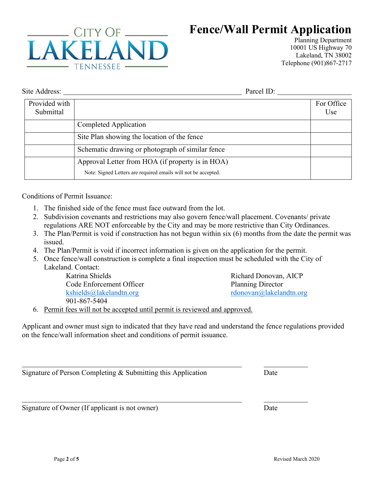

## **Fence/Wall Permit Application**

Planning Department 10001 US Highway 70 Lakeland, TN 38002 Telephone (901)867-2717

Site Address: Parcel ID:

| Provided with<br>Submittal |                                                                                                                    | For Office<br>Use |
|----------------------------|--------------------------------------------------------------------------------------------------------------------|-------------------|
|                            | Completed Application                                                                                              |                   |
|                            | Site Plan showing the location of the fence                                                                        |                   |
|                            | Schematic drawing or photograph of similar fence                                                                   |                   |
|                            | Approval Letter from HOA (if property is in HOA)<br>Note: Signed Letters are required emails will not be accepted. |                   |

Conditions of Permit Issuance:

- 1. The finished side of the fence must face outward from the lot.
- 2. Subdivision covenants and restrictions may also govern fence/wall placement. Covenants/ private regulations ARE NOT enforceable by the City and may be more restrictive than City Ordinances.
- 3. The Plan/Permit is void if construction has not begun within six (6) months from the date the permit was issued.
- 4. The Plan/Permit is void if incorrect information is given on the application for the permit.
- 5. Once fence/wall construction is complete a final inspection must be scheduled with the City of Lakeland. Contact:

Katrina Shields Code Enforcement Officer [kshields@lakelandtn.org](mailto:kshields@lakelandtn.org) 901-867-5404

Richard Donovan, AICP Planning Director [rdonovan@lakelandtn.org](mailto:rdonovan@lakelandtn.org)

6. Permit fees will not be accepted until permit is reviewed and approved.

Applicant and owner must sign to indicated that they have read and understand the fence regulations provided on the fence/wall information sheet and conditions of permit issuance.

Signature of Person Completing & Submitting this Application Date

Signature of Owner (If applicant is not owner) Date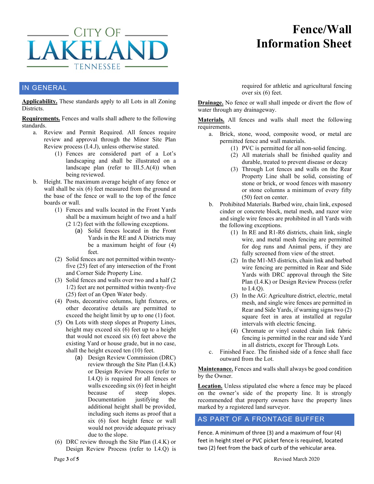

## **Fence/Wall Information Sheet**

#### IN GENERAL

**Applicability.** These standards apply to all Lots in all Zoning Districts.

**Requirements.** Fences and walls shall adhere to the following standards.

- a. Review and Permit Required. All fences require review and approval through the Minor Site Plan Review process (I.4.J), unless otherwise stated.
	- (1) Fences are considered part of a Lot's landscaping and shall be illustrated on a landscape plan (refer to  $III.5.A(4)$ ) when being reviewed.
- b. Height. The maximum average height of any fence or wall shall be six (6) feet measured from the ground at the base of the fence or wall to the top of the fence boards or wall.
	- (1) Fences and walls located in the Front Yards shall be a maximum height of two and a half (2 1/2) feet with the following exceptions.
		- (a) Solid fences located in the Front Yards in the RE and A Districts may be a maximum height of four (4) feet.
	- (2) Solid fences are not permitted within twentyfive (25) feet of any intersection of the Front and Corner Side Property Line.
	- (3) Solid fences and walls over two and a half (2 1/2) feet are not permitted within twenty-five (25) feet of an Open Water body.
	- (4) Posts, decorative columns, light fixtures, or other decorative details are permitted to exceed the height limit by up to one (1) foot.
	- (5) On Lots with steep slopes at Property Lines, height may exceed six (6) feet up to a height that would not exceed six (6) feet above the existing Yard or house grade, but in no case, shall the height exceed ten (10) feet.
		- (a) Design Review Commission (DRC) review through the Site Plan (I.4.K) or Design Review Process (refer to I.4.Q) is required for all fences or walls exceeding six (6) feet in height because of steep slopes.<br>Documentation justifying the Documentation justifying the additional height shall be provided, including such items as proof that a six (6) foot height fence or wall would not provide adequate privacy due to the slope.
	- (6) DRC review through the Site Plan (I.4.K) or Design Review Process (refer to I.4.Q) is

required for athletic and agricultural fencing over six (6) feet.

**Drainage.** No fence or wall shall impede or divert the flow of water through any drainageway.

**Materials.** All fences and walls shall meet the following requirements.

- a. Brick, stone, wood, composite wood, or metal are permitted fence and wall materials.
	- (1) PVC is permitted for all non-solid fencing.
	- (2) All materials shall be finished quality and durable, treated to prevent disease or decay
	- (3) Through Lot fences and walls on the Rear Property Line shall be solid, consisting of stone or brick, or wood fences with masonry or stone columns a minimum of every fifty (50) feet on center.
- b. Prohibited Materials. Barbed wire, chain link, exposed cinder or concrete block, metal mesh, and razor wire and single wire fences are prohibited in all Yards with the following exceptions.
	- (1) In RE and R1-R6 districts, chain link, single wire, and metal mesh fencing are permitted for dog runs and Animal pens, if they are fully screened from view of the street.
	- (2) In the M1-M3 districts, chain link and barbed wire fencing are permitted in Rear and Side Yards with DRC approval through the Site Plan (I.4.K) or Design Review Process (refer to I.4.Q).
	- (3) In the AG: Agriculture district, electric, metal mesh, and single wire fences are permitted in Rear and Side Yards, if warning signs two (2) square feet in area at installed at regular intervals with electric fencing.
	- (4) Chromate or vinyl coated chain link fabric fencing is permitted in the rear and side Yard in all districts, except for Through Lots.
- c. Finished Face. The finished side of a fence shall face outward from the Lot.

**Maintenance.** Fences and walls shall always be good condition by the Owner.

**Location.** Unless stipulated else where a fence may be placed on the owner's side of the property line. It is strongly recommended that property owners have the property lines marked by a registered land surveyor.

#### AS PART OF A FRONTAGE BUFFER

Fence. A minimum of three (3) and a maximum of four (4) feet in height steel or PVC picket fence is required, located two (2) feet from the back of curb of the vehicular area.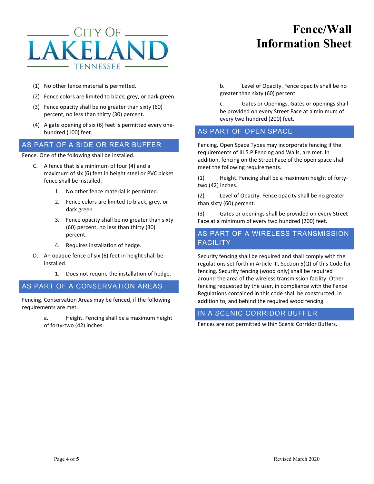# CITY OF . **TENNESSEE**

## **Fence/Wall Information Sheet**

- (1) No other fence material is permitted.
- (2) Fence colors are limited to black, grey, or dark green.
- (3) Fence opacity shall be no greater than sixty (60) percent, no less than thirty (30) percent.
- (4) A gate opening of six (6) feet is permitted every onehundred (100) feet.

#### AS PART OF A SIDE OR REAR BUFFER

Fence. One of the following shall be installed.

- C. A fence that is a minimum of four (4) and a maximum of six (6) feet in height steel or PVC picket fence shall be installed.
	- 1. No other fence material is permitted.
	- 2. Fence colors are limited to black, grey, or dark green.
	- 3. Fence opacity shall be no greater than sixty (60) percent, no less than thirty (30) percent.
	- 4. Requires installation of hedge.
- D. An opaque fence of six (6) feet in height shall be installed.
	- 1. Does not require the installation of hedge.

#### AS PART OF A CONSERVATION AREAS

Fencing. Conservation Areas may be fenced, if the following requirements are met.

> a. Height. Fencing shall be a maximum height of forty-two (42) inches.

b. Level of Opacity. Fence opacity shall be no greater than sixty (60) percent.

c. Gates or Openings. Gates or openings shall be provided on every Street Face at a minimum of every two hundred (200) feet.

#### AS PART OF OPEN SPACE

Fencing. Open Space Types may incorporate fencing if the requirements of III.5.P Fencing and Walls, are met. In addition, fencing on the Street Face of the open space shall meet the following requirements.

(1) Height. Fencing shall be a maximum height of fortytwo (42) inches.

(2) Level of Opacity. Fence opacity shall be no greater than sixty (60) percent.

(3) Gates or openings shall be provided on every Street Face at a minimum of every two hundred (200) feet.

#### AS PART OF A WIRELESS TRANSMISSION FACILITY

Security fencing shall be required and shall comply with the regulations set forth in Article III, Section 5(Q) of this Code for fencing. Security fencing (wood only) shall be required around the area of the wireless transmission facility. Other fencing requested by the user, in compliance with the Fence Regulations contained in this code shall be constructed, in addition to, and behind the required wood fencing.

#### IN A SCENIC CORRIDOR BUFFER

Fences are not permitted within Scenic Corridor Buffers.